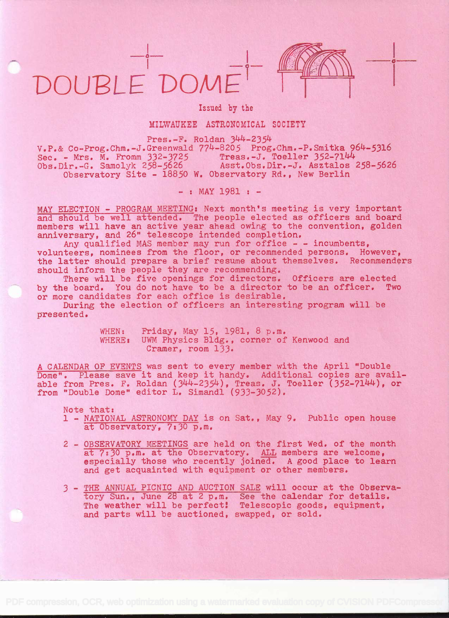## DOUPLE'DOM&

-



in the company of the company

## Issued by the

## MILWAUKEE ASTRONOMICAL SOCIETY

Pres.-F. Roldan 344-2354

 $V.P.$ & Co-Prog.Chm.-J.Greenwald  $774-8205$  Prog.Chm.-P.Smitka  $964-5316$ <br>Sec. - Mrs. M. Fromm  $332-3725$  Treas.-J. Toeller  $352-7144$ Sec. - Mrs. M. Fromm 332-3725<br>Obs.Dir.-G. Samolyk 258-5626 Asst.Obs.Dir.-J. Asztalos 258-5626 Observatory Site - 18850 W. Observatory Rd., New Berlin

 $-$  : MAY 1981 :  $-$ 

MAY ELECTION - PROGRAM MEETING: Next month's meeting is very important and should be well attended. The people elected as officers and board members will have an active year ahead owing to the convention, golden anniversary, and 26" telescope intended completion.

Any qualified MAS member may run for office - - incumbents, volunteers, nominees from the floor, or recommended persons. However, the latter should prepare a brief resume about themselves. Recommenders should inform the people they are recommending.

There will be five openings for directors. Officers are elected by the board. You do not have to be a director to be an officer. Two or more candidates for each office is desirable.

During the election of officers an interesting program will be presented.

> WHEN: Friday, May 15, 1981, 8 p.m.<br>WHERE: UWM Physics Bldg., corner of UWM Physics Bldg., corner of Kenwood and Cramer, room 133.

A CALENDAR OF EVENTS was sent to every member with the April "Double Dome". Please save it and keep it handy. Additional copies are available from Pres. F. Roldan  $(344-2354)$ , Treas. J. Toeller  $(352-7144)$ , or from "Double Dome" editor L. Simandi (933-3052).

Note that:

- 1 NATIONAL ASTRONOMY DAY is on Sat., May 9. Public open house at Observatory, 7:30 p.m.
- 2 OBSERVATORY MEETINGS are held on the first Wed. of the month at 7:30 p.m. at the Observatory. ALL members are welcome, especially those who recently joined. A good place to learn and get acquainted with equipment or other members,
- 3 THE ANNUAL PICNIC AND AUCTION SALE will occur at the Observatory Sun., June 28 at 2 p.m. See the calendar for details. The weather will be perfect! Telescopic goods, equipment, and parts will be auctioned, swapped, or sold.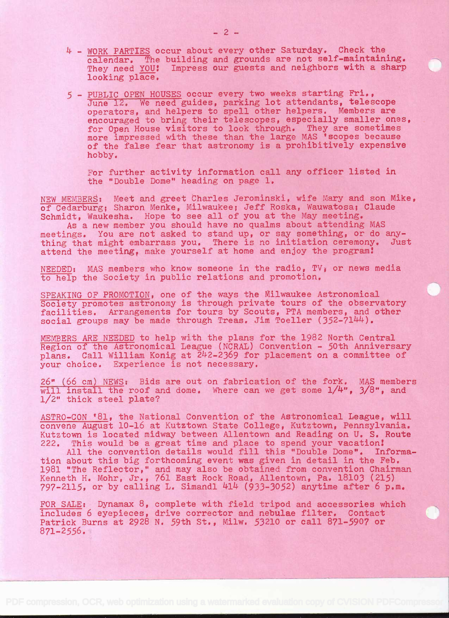- 4 WORK PARTIES occur about every other Saturday. Check the calendar. The building and grounds are not self-maintaining.<br>They need YOU! Impress our guests and neighbors with a sharp Impress our guests and neighbors with a sharp looking place.
- <sup>5</sup> PUBLIC OPEN HOUSES occur every two weeks starting Fri., June 12. We need guides, parking lot attendants, telescope operators, and helpers to spell other helpers. Members are encouraged to bring their telescopes, especially smaller ones, for Open House visitors to look through. They are sometimes more impressed with these than the large MAS 'scopes because of' the false fear that astronomy is a prohibitively expensive hobby.

For further activity information call any officer listed in the "Double Dome" heading on page 1.

NEW MEMBERS: Meet and greet Charles Jerominski, wife Mary and son Mike, of Cedarburg; Sharon Menke, Milwaukee; Jeff Roska, Wauwatosa; Claude Schmidt, Waukesha. Hope to see all of you at the May meeting.

As a new member you should have no qualms about attending MAS meetings. You are not asked to stand up, or say something, or do anything that might embarrass you. There is no initiation ceremony. Just attend the meeting, make yourself at home and enjoy the program!

NEEDED: MAS members who know someone in the radio, TV; or news media to help the Society in public relations and promotion.

SPEAKING OF PROMOTION, one of the ways the Milwaukee Astronomical Society promotes astronomy is through private tours of the observatory facilities. Arrangements for tours by Scouts, PTA members, and other social groups may be made through Treas. Jim Toeller  $(352-7144)$ .

MEMBERS ARE NEEDED to help with the plans for the 1982 North Central Region of the Astronomical League (NCRAL) Convention - 50th Anniversary plans. Call William Konig at 242-2369 for placement on a committee of your choice, Experience is not necessary.

26" (66 cm) NEWS: Bids are out on fabrication of the fork. MAS members will install the roof and dome. Where can we get some 1/4", 3/8", and 1/2" thick steel plate?

ASTRO-CON '81, the National Convention of the Astronomical League, will convene August 10-16 at Kutztown State College, Kutztown, Pennsylvania. Kutztown is located midway between Allentown and Reading on U. S. Route 222. This would be a great time and place to spend your vacation!

All the convention details would fill this "Double Dome'. Information about this big forthcoming event was given in detail in the Feb. 1981 "The Reflector," and may also be obtained from convention Chairman Kenneth H. Mohr, Jr., 761 East Rock Road, Allentown, Pa. 18103 (215)  $797-2115$ , or by calling L. Simandl  $414$  (933-3052) anytime after 6 p.m.

FOR SALE: Dynamax  $8$ , complete with field tripod and accessories which includes 6 eyepieces, drive corrector and nebulae filter. Contact Patrick Burns at 2928 N. 59th St., Milw. 53210 or call 871-5907 or 871-2556.